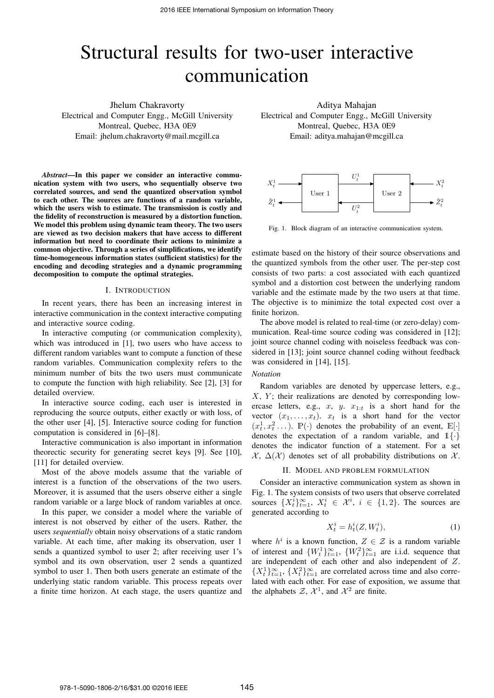# Structural results for two-user interactive communication

Jhelum Chakravorty Electrical and Computer Engg., McGill University Montreal, Quebec, H3A 0E9 Email: jhelum.chakravorty@mail.mcgill.ca

*Abstract*—In this paper we consider an interactive communication system with two users, who sequentially observe two correlated sources, and send the quantized observation symbol to each other. The sources are functions of a random variable, which the users wish to estimate. The transmission is costly and the fidelity of reconstruction is measured by a distortion function. We model this problem using dynamic team theory. The two users are viewed as two decision makers that have access to different information but need to coordinate their actions to minimize a common objective. Through a series of simplifications, we identify time-homogeneous information states (sufficient statistics) for the encoding and decoding strategies and a dynamic programming decomposition to compute the optimal strategies.

## I. INTRODUCTION

In recent years, there has been an increasing interest in interactive communication in the context interactive computing and interactive source coding.

In interactive computing (or communication complexity), which was introduced in [1], two users who have access to different random variables want to compute a function of these random variables. Communication complexity refers to the minimum number of bits the two users must communicate to compute the function with high reliability. See [2], [3] for detailed overview.

In interactive source coding, each user is interested in reproducing the source outputs, either exactly or with loss, of the other user [4], [5]. Interactive source coding for function computation is considered in [6]–[8].

Interactive communication is also important in information theorectic security for generating secret keys [9]. See [10], [11] for detailed overview.

Most of the above models assume that the variable of interest is a function of the observations of the two users. Moreover, it is assumed that the users observe either a single random variable or a large block of random variables at once.

In this paper, we consider a model where the variable of interest is not observed by either of the users. Rather, the users *sequentially* obtain noisy observations of a static random variable. At each time, after making its observation, user 1 sends a quantized symbol to user 2; after receiving user 1's symbol and its own observation, user 2 sends a quantized symbol to user 1. Then both users generate an estimate of the underlying static random variable. This process repeats over a finite time horizon. At each stage, the users quantize and

Aditya Mahajan Electrical and Computer Engg., McGill University Montreal, Quebec, H3A 0E9 Email: aditya.mahajan@mcgill.ca



Fig. 1. Block diagram of an interactive communication system.

estimate based on the history of their source observations and the quantized symbols from the other user. The per-step cost consists of two parts: a cost associated with each quantized symbol and a distortion cost between the underlying random variable and the estimate made by the two users at that time. The objective is to minimize the total expected cost over a finite horizon.

The above model is related to real-time (or zero-delay) communication. Real-time source coding was considered in [12]; joint source channel coding with noiseless feedback was considered in [13]; joint source channel coding without feedback was considered in [14], [15].

## *Notation*

Random variables are denoted by uppercase letters, e.g.,  $X, Y$ ; their realizations are denoted by corresponding lowercase letters, e.g., x, y.  $x_{1:t}$  is a short hand for the vector  $(x_1, \ldots, x_t)$ .  $x_t$  is a short hand for the vector  $(x_t^1, x_t^2 \dots)$ .  $\mathbb{P}(\cdot)$  denotes the probability of an event,  $\mathbb{E}[\cdot]$ denotes the expectation of a random variable, and  $1\{\cdot\}$ denotes the indicator function of a statement. For a set  $\mathcal{X}, \Delta(\mathcal{X})$  denotes set of all probability distributions on X.

#### II. MODEL AND PROBLEM FORMULATION

Consider an interactive communication system as shown in Fig. 1. The system consists of two users that observe correlated sources  $\{X_t^i\}_{t=1}^{\infty}$ ,  $X_t^i \in \mathcal{X}^i$ ,  $i \in \{1,2\}$ . The sources are generated according to

$$
X_t^i = h_t^i(Z, W_t^i),\tag{1}
$$

where  $h^i$  is a known function,  $Z \in \mathcal{Z}$  is a random variable of interest and  $\{W_t^1\}_{t=1}^{\infty}$ ,  $\{W_t^2\}_{t=1}^{\infty}$  are i.i.d. sequence that are independent of each other and also independent of Z.  $\{X_t^1\}_{t=1}^{\infty}$ ,  $\{X_t^2\}_{t=1}^{\infty}$  are correlated across time and also correlated with each other. For ease of exposition, we assume that the alphabets  $\mathcal{Z}, \mathcal{X}^1$ , and  $\mathcal{X}^2$  are finite.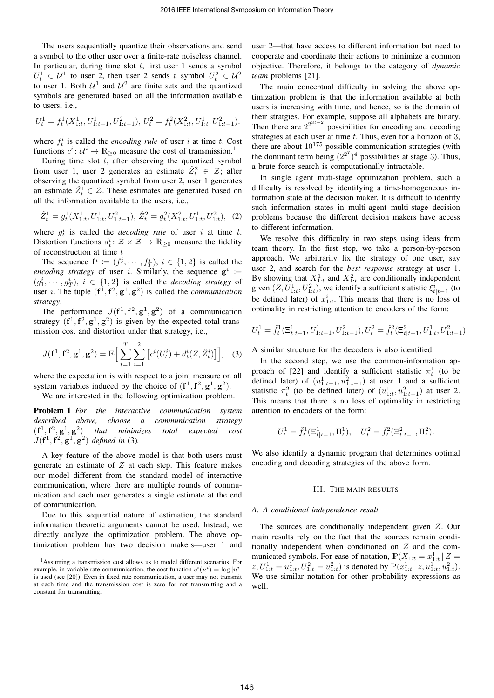The users sequentially quantize their observations and send a symbol to the other user over a finite-rate noiseless channel. In particular, during time slot  $t$ , first user 1 sends a symbol  $U_t^1 \in \mathcal{U}^1$  to user 2, then user 2 sends a symbol  $U_t^2 \in \mathcal{U}^2$ to user 1. Both  $\mathcal{U}^1$  and  $\mathcal{U}^2$  are finite sets and the quantized symbols are generated based on all the information available to users, i.e.,

$$
U_t^1 = f_t^1(X_{1:t}^1, U_{1:t-1}^1, U_{1:t-1}^2), U_t^2 = f_t^2(X_{1:t}^2, U_{1:t}^1, U_{1:t-1}^2).
$$

where  $f_t^i$  is called the *encoding rule* of user i at time t. Cost functions  $c^i: \mathcal{U}^i \to \mathbb{R}_{\geq 0}$  measure the cost of transmission.<sup>1</sup>

During time slot  $t<sub>1</sub>$  after observing the quantized symbol from user 1, user 2 generates an estimate  $\hat{Z}_t^2 \in \mathcal{Z}$ ; after observing the quantized symbol from user 2, user 1 generates an estimate  $\hat{Z}_t^1 \in \mathcal{Z}$ . These estimates are generated based on all the information available to the users, i.e.,

$$
\hat{Z}_t^1 = g_t^1(X_{1:t}^1, U_{1:t}^1, U_{1:t-1}^2), \ \hat{Z}_t^2 = g_t^2(X_{1:t}^2, U_{1:t}^1, U_{1:t}^2), \tag{2}
$$

where  $g_t^i$  is called the *decoding rule* of user i at time t. Distortion functions  $d_t^i: \mathcal{Z} \times \mathcal{Z} \to \mathbb{R}_{\geq 0}$  measure the fidelity of reconstruction at time t

The sequence  $f^i := (f_1^i, \dots, f_T^i), i \in \{1,2\}$  is called the *encoding strategy* of user *i*. Similarly, the sequence  $g^i$  :=  $(g_1^i, \dots, g_T^i), i \in \{1,2\}$  is called the *decoding strategy* of user *i*. The tuple  $(f^1, f^2, g^1, g^2)$  is called the *communication strategy*.

The performance  $J(\mathbf{f}^1, \mathbf{f}^2, \mathbf{g}^1, \mathbf{g}^2)$  of a communication strategy  $(f^1, f^2, g^1, g^2)$  is given by the expected total transmission cost and distortion under that strategy, i.e.,

$$
J(\mathbf{f}^1, \mathbf{f}^2, \mathbf{g}^1, \mathbf{g}^2) = \mathbb{E}\Big[\sum_{t=1}^T \sum_{i=1}^2 \big[c^i(U_t^i) + d_t^i(Z, \hat{Z}_t^i)\big]\Big], \quad (3)
$$

where the expectation is with respect to a joint measure on all system variables induced by the choice of  $(f<sup>1</sup>, f<sup>2</sup>, g<sup>1</sup>, g<sup>2</sup>)$ .

We are interested in the following optimization problem.

Problem 1 *For the interactive communication system described above, choose a communication strategy*  $(\mathbf{f}^1, \mathbf{f}^2, \mathbf{g}^1, \mathbf{g}^2)$ ) *that minimizes total expected cost*  $J(f<sup>1</sup>, f<sup>2</sup>, g<sup>1</sup>, g<sup>2</sup>)$  *defined in* (3).

A key feature of the above model is that both users must generate an estimate of  $Z$  at each step. This feature makes our model different from the standard model of interactive communication, where there are multiple rounds of communication and each user generates a single estimate at the end of communication.

Due to this sequential nature of estimation, the standard information theoretic arguments cannot be used. Instead, we directly analyze the optimization problem. The above optimization problem has two decision makers—user 1 and

user 2—that have access to different information but need to cooperate and coordinate their actions to minimize a common objective. Therefore, it belongs to the category of *dynamic team* problems [21].

The main conceptual difficulty in solving the above optimization problem is that the information available at both users is increasing with time, and hence, so is the domain of their stratgies. For example, suppose all alphabets are binary. Then there are  $2^{2^{3t-2}}$  possibilities for encoding and decoding strategies at each user at time  $t$ . Thus, even for a horizon of 3, there are about  $10^{175}$  possible communication strategies (with the dominant term being  $(2^{2^7})^4$  possibilities at stage 3). Thus, a brute force search is computationally intractable.

In single agent muti-stage optimization problem, such a difficulty is resolved by identifying a time-homogeneous information state at the decision maker. It is difficult to identify such information states in multi-agent multi-stage decision problems because the different decision makers have access to different information.

We resolve this difficulty in two steps using ideas from team theory. In the first step, we take a person-by-person approach. We arbitrarily fix the strategy of one user, say user 2, and search for the *best response* strategy at user 1. By showing that  $X_{1:t}^1$  and  $X_{1:t}^2$  are conditionally independent given  $(Z, U_{1:t}^1, U_{1:t}^2)$ , we identify a sufficient statistic  $\xi_{t|t-1}^i$  (to be defined later) of  $x_{1:t}^i$ . This means that there is no loss of optimality in restricting attention to encoders of the form:

$$
U_t^1 = \hat{f}_t^1(\Xi_{t|t-1}^1, U_{1:t-1}^1, U_{1:t-1}^2), U_t^2 = \hat{f}_t^2(\Xi_{t|t-1}^2, U_{1:t}^1, U_{1:t-1}^2).
$$

A similar structure for the decoders is also identified.

In the second step, we use the common-information approach of [22] and identify a sufficient statistic  $\pi_t^1$  (to be defined later) of  $(u_{1:t-1}^1, u_{1:t-1}^2)$  at user 1 and a sufficient statistic  $\pi_t^2$  (to be defined later) of  $(u_{1:t}^1, u_{1:t-1}^2)$  at user 2. This means that there is no loss of optimality in restricting attention to encoders of the form:

$$
U_t^1 = \tilde{f}_t^1(\Xi_{t|t-1}^1,\Pi_t^1), \quad U_t^2 = \tilde{f}_t^2(\Xi_{t|t-1}^2,\Pi_t^2).
$$

We also identify a dynamic program that determines optimal encoding and decoding strategies of the above form.

## III. THE MAIN RESULTS

### *A. A conditional independence result*

The sources are conditionally independent given Z. Our main results rely on the fact that the sources remain conditionally independent when conditioned on Z and the communicated symbols. For ease of notation,  $\mathbb{P}(X_{1:t} = x_{1:t}^1 | Z =$  $z, U_{1:t}^1 = u_{1:t}^1, U_{1:t}^2 = u_{1:t}^2$  is denoted by  $\mathbb{P}(x_{1:t}^1 | z, u_{1:t}^1, u_{1:t}^2)$ . We use similar notation for other probability expressions as well.

<sup>1</sup>Assuming a transmission cost allows us to model different scenarios. For example, in variable rate communication, the cost function  $c^{i}(u^{i}) = \log |u^{i}|$ is used (see [20]). Even in fixed rate communication, a user may not transmit at each time and the transmission cost is zero for not transmitting and a constant for transmitting.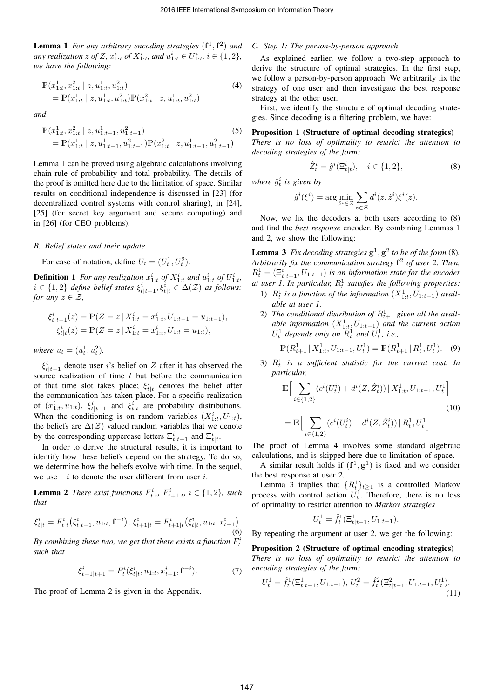Lemma 1 *For any arbitrary encoding strategies*  $(f<sup>1</sup>, f<sup>2</sup>)$  *and any realization*  $z$  *of*  $Z$ *,*  $x_{1:t}^i$  *of*  $X_{1:t}^i$ *, and*  $u_{1:t}^i \in U_{1:t}^i$ *,*  $i \in \{1,2\}$ *, we have the following:*

$$
\mathbb{P}(x_{1:t}^1, x_{1:t}^2 \mid z, u_{1:t}^1, u_{1:t}^2)
$$
\n
$$
= \mathbb{P}(x_{1:t}^1 \mid z, u_{1:t}^1, u_{1:t}^2) \mathbb{P}(x_{1:t}^2 \mid z, u_{1:t}^1, u_{1:t}^2)
$$
\n(4)

*and*

$$
\mathbb{P}(x_{1:t}^1, x_{1:t}^2 \mid z, u_{1:t-1}^1, u_{1:t-1}^2) \tag{5}
$$
  
=  $\mathbb{P}(x_{1:t}^1 \mid z, u_{1:t-1}^1, u_{1:t-1}^2) \mathbb{P}(x_{1:t}^2 \mid z, u_{1:t-1}^1, u_{1:t-1}^2)$ 

Lemma 1 can be proved using algebraic calculations involving chain rule of probability and total probability. The details of the proof is omitted here due to the limitation of space. Similar results on conditional independence is discussed in [23] (for decentralized control systems with control sharing), in [24], [25] (for secret key argument and secure computing) and in [26] (for CEO problems).

## *B. Belief states and their update*

For ease of notation, define  $U_t = (U_t^1, U_t^2)$ .

**Definition 1** For any realization  $x_{1:t}^i$  of  $X_{1:t}^i$  and  $u_{1:t}^i$  of  $U_{1:t}^i$ ,  $i \in \{1, 2\}$  *define belief states*  $\xi_{t|t-1}^i, \xi_{t|t}^i \in \Delta(\mathcal{Z})$  *as follows: for any*  $z \in \mathcal{Z}$ *,* 

$$
\xi_{t|t-1}^{i}(z) = \mathbb{P}(Z = z \mid X_{1:t}^{i} = x_{1:t}^{i}, U_{1:t-1} = u_{1:t-1}),
$$
  
\n
$$
\xi_{t|t}^{i}(z) = \mathbb{P}(Z = z \mid X_{1:t}^{i} = x_{1:t}^{i}, U_{1:t} = u_{1:t}),
$$

*where*  $u_t = (u_t^1, u_t^2)$ .

 $\xi_{t|t-1}^i$  denote user i's belief on Z after it has observed the source realization of time  $t$  but before the communication of that time slot takes place;  $\xi_{t|t}^{i}$  denotes the belief after the communication has taken place. For a specific realization of  $(x_{1:t}^i, u_{1:t})$ ,  $\xi_{t|t-1}^i$  and  $\xi_{t|t}^i$  are probability distributions. When the conditioning is on random variables  $(X_{1:t}^i, U_{1:t})$ , the beliefs are  $\Delta(\mathcal{Z})$  valued random variables that we denote by the corresponding uppercase letters  $\Xi_{t|t-1}^i$  and  $\Xi_{t|t}^i$ .

In order to derive the structural results, it is important to identify how these beliefs depend on the strategy. To do so, we determine how the beliefs evolve with time. In the sequel, we use  $-i$  to denote the user different from user i.

**Lemma 2** There exist functions  $F_{t|t}^i$ ,  $F_{t+1|t}^i$ ,  $i \in \{1,2\}$ , such *that*

$$
\xi_{t|t}^i = F_{t|t}^i(\xi_{t|t-1}^i, u_{1:t}, \mathbf{f}^{-i}), \xi_{t+1|t}^i = F_{t+1|t}^i(\xi_{t|t}^i, u_{1:t}, x_{t+1}^i).
$$
\n(6)

By combining these two, we get that there exists a function  $F_t^i$ *such that*

$$
\xi_{t+1|t+1}^i = F_t^i(\xi_{t|t}^i, u_{1:t}, x_{t+1}^i, \mathbf{f}^{-i}).\tag{7}
$$

The proof of Lemma 2 is given in the Appendix.

# *C. Step 1: The person-by-person approach*

As explained earlier, we follow a two-step approach to derive the structure of optimal strategies. In the first step, we follow a person-by-person approach. We arbitrarily fix the strategy of one user and then investigate the best response strategy at the other user.

First, we identify the structure of optimal decoding strategies. Since decoding is a filtering problem, we have:

## Proposition 1 (Structure of optimal decoding strategies)

*There is no loss of optimality to restrict the attention to decoding strategies of the form:*

$$
\hat{Z}_t^i = \hat{g}^i(\Xi_{t|t}^i), \quad i \in \{1, 2\},\tag{8}
$$

*where*  $\hat{g}_t^i$  *is given by* 

$$
\hat{g}^i(\xi^i) = \arg\min_{\hat{z}^i \in \mathcal{Z}} \sum_{z \in \mathcal{Z}} d^i(z, \hat{z}^i) \xi^i(z).
$$

Now, we fix the decoders at both users according to (8) and find the *best response* encoder. By combining Lemmas 1 and 2, we show the following:

**Lemma 3** Fix decoding strategies  $g^1$ ,  $g^2$  to be of the form (8). *Arbitrarily fix the communication strategy* f <sup>2</sup> *of user 2. Then,*  $R_t^1 = (\Xi_{t|t-1}^i, U_{1:t-1})$  *is an information state for the encoder* at user 1. In particular,  $R_t^1$  satisfies the following properties:

- 1)  $R_t^1$  is a function of the information  $(X_{1:t}^1, U_{1:t-1})$  avail*able at user 1.*
- 2) The conditional distribution of  $R_{t+1}^1$  given all the avail*able information*  $(X_{1:t}^1, U_{1:t-1})$  *and the current action*  $U_t^1$  depends only on  $R_t^1$  and  $U_t^1$ , *i.e.*,

$$
\mathbb{P}(R_{t+1}^1 | X_{1:t}^1, U_{1:t-1}, U_t^1) = \mathbb{P}(R_{t+1}^1 | R_t^1, U_t^1).
$$
 (9)

3)  $R_t^1$  is a sufficient statistic for the current cost. In *particular,*

$$
\mathbb{E}\Big[\sum_{i\in\{1,2\}} (c^i(U_t^i) + d^i(Z, \hat{Z}_t^i)) | X_{1:t}^1, U_{1:t-1}, U_t^1\Big]
$$
\n
$$
= \mathbb{E}\Big[\sum_{i\in\{1,2\}} (c^i(U_t^i) + d^i(Z, \hat{Z}_t^i)) | R_t^1, U_t^1\Big]
$$
\n(10)

The proof of Lemma 4 involves some standard algebraic calculations, and is skipped here due to limitation of space.

A similar result holds if  $(f^1, g^1)$  is fixed and we consider the best response at user 2.

Lemma 3 implies that  ${R_t^1}_{t \geq 1}$  is a controlled Markov process with control action  $U_t^1$ . Therefore, there is no loss of optimality to restrict attention to *Markov strategies*

$$
U_t^1 = \hat{f}_t^1(\Xi_{t|t-1}^1, U_{1:t-1}).
$$

By repeating the argument at user 2, we get the following:

Proposition 2 (Structure of optimal encoding strategies) *There is no loss of optimality to restrict the attention to encoding strategies of the form:*

$$
U_t^1 = \hat{f}_t^1(\Xi_{t|t-1}^1, U_{1:t-1}), \ U_t^2 = \hat{f}_t^2(\Xi_{t|t-1}^2, U_{1:t-1}, U_t^1). \tag{11}
$$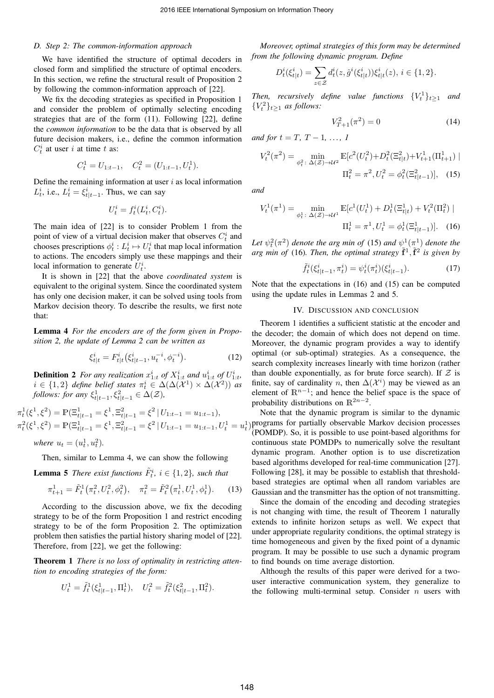## *D. Step 2: The common-information approach*

We have identified the structure of optimal decoders in closed form and simplified the structure of optimal encoders. In this section, we refine the structural result of Proposition 2 by following the common-information approach of [22].

We fix the decoding strategies as specified in Proposition 1 and consider the problem of optimally selecting encoding strategies that are of the form (11). Following [22], define the *common information* to be the data that is observed by all future decision makers, i.e., define the common information  $C_t^i$  at user i at time t as:

$$
C_t^1 = U_{1:t-1}, \quad C_t^2 = (U_{1:t-1}, U_t^1).
$$

Define the remaining information at user  $i$  as local information  $L_t^i$ , i.e.,  $L_t^i = \xi_{t|t-1}^i$ . Thus, we can say

$$
U_t^i = f_t^i(L_t^i, C_t^i).
$$

The main idea of [22] is to consider Problem 1 from the point of view of a virtual decision maker that observes  $C_t^i$  and chooses prescriptions  $\phi_t^i : L_t^i \mapsto U_t^i$  that map local information to actions. The encoders simply use these mappings and their local information to generate  $U_t^i$ .

It is shown in [22] that the above *coordinated system* is equivalent to the original system. Since the coordinated system has only one decision maker, it can be solved using tools from Markov decision theory. To describe the results, we first note that:

Lemma 4 *For the encoders are of the form given in Proposition 2, the update of Lemma 2 can be written as*

$$
\xi_{t|t}^i = F_{t|t}^i \left( \xi_{t|t-1}^i, u_t^{-i}, \phi_t^{-i} \right). \tag{12}
$$

**Definition 2** For any realization  $x_{1:t}^i$  of  $X_{1:t}^i$  and  $u_{1:t}^i$  of  $U_{1:t}^i$ ,  $i \in \{1,2\}$  *define belief states*  $\pi_t^i \in \Delta(\Delta(\mathcal{X}^1) \times \Delta(\mathcal{X}^2))$  *as follows: for any*  $\xi_{t|t-1}^1, \xi_{t|t-1}^2 \in \Delta(\mathcal{Z})$ *,* 

 $\pi_t^1(\xi^1, \xi^2) = \mathbb{P}(\Xi_{t|t-1}^1 = \xi^1, \Xi_{t|t-1}^2 = \xi^2 | U_{1:t-1} = u_{1:t-1}),$  $\pi_t^2(\xi^1, \xi^2) = \mathbb{P}(\Xi_{t|t-1}^1 = \xi^1, \Xi_{t|t-1}^2 = \xi^2 \mid U_{1:t-1} = u_{1:t-1}, U_t^1 = u_t^1)$  programs for partially observable Markov decision processes

*where*  $u_t = (u_t^1, u_t^2)$ .

Then, similar to Lemma 4, we can show the following

**Lemma 5** *There exist functions*  $\tilde{F}_t^i$ ,  $i \in \{1, 2\}$ , such that

$$
\pi_{t+1}^1 = \tilde{F}_t^1(\pi_t^2, U_t^2, \phi_t^2), \quad \pi_t^2 = \tilde{F}_t^2(\pi_t^1, U_t^1, \phi_t^1). \tag{13}
$$

According to the discussion above, we fix the decoding strategy to be of the form Proposition 1 and restrict encoding strategy to be of the form Proposition 2. The optimization problem then satisfies the partial history sharing model of [22]. Therefore, from [22], we get the following:

Theorem 1 *There is no loss of optimality in restricting attention to encoding strategies of the form:*

$$
U_t^1 = \tilde{f}_t^1(\xi_{t|t-1}^1, \Pi_t^1), \quad U_t^2 = \tilde{f}_t^2(\xi_{t|t-1}^2, \Pi_t^2).
$$

*Moreover, optimal strategies of this form may be determined from the following dynamic program. Define*

$$
D_t^i(\xi_{t|t}^i) = \sum_{z \in \mathcal{Z}} d_t^i(z, \hat{g}^i(\xi_{t|t}^i)) \xi_{t|t}^i(z), \, i \in \{1, 2\}.
$$

*Then, recursively define value functions*  $\{V_t^1\}_{t\geq 1}$  *and*  ${V_t^2}_{t\geq 1}$  *as follows:* 

$$
V_{T+1}^2(\pi^2) = 0\tag{14}
$$

*and for*  $t = T, T - 1, ..., 1$ 

$$
V_t^2(\pi^2) = \min_{\phi_t^2 \colon \Delta(\mathcal{Z}) \to \mathcal{U}^2} \mathbb{E}[c^2(U_t^2) + D_t^2(\Xi_{t|t}^2) + V_{t+1}^1(\Pi_{t+1}^1) \mid \Pi_t^2 = \pi^2, U_t^2 = \phi_t^2(\Xi_{t|t-1}^2)], \quad (15)
$$

*and*

$$
V_t^1(\pi^1) = \min_{\phi_t^1 \colon \Delta(\mathcal{Z}) \to \mathcal{U}^1} \mathbb{E}[c^1(U_t^1) + D_t^1(\Xi_{t|t}^1) + V_t^2(\Pi_t^2) |
$$

$$
\Pi_t^1 = \pi^1, U_t^1 = \phi_t^1(\Xi_{t|t-1}^1)]. \quad (16)
$$

Let  $\psi_t^2(\pi^2)$  denote the arg min of (15) and  $\psi_{\zeta}^1(\pi^1)$  denote the arg min of (16). Then, the optimal strategy  $\tilde{f}^1$ ,  $\tilde{f}^2$  is given by

$$
\tilde{f}_t^i(\xi_{t|t-1}^i, \pi_t^i) = \psi_t^i(\pi_t^i)(\xi_{t|t-1}^i). \tag{17}
$$

Note that the expectations in (16) and (15) can be computed using the update rules in Lemmas 2 and 5.

## IV. DISCUSSION AND CONCLUSION

Theorem 1 identifies a sufficient statistic at the encoder and the decoder; the domain of which does not depend on time. Moreover, the dynamic program provides a way to identify optimal (or sub-optimal) strategies. As a consequence, the search complexity increases linearly with time horizon (rather than double exponentially, as for brute force search). If  $Z$  is finite, say of cardinality n, then  $\Delta(\mathcal{X}^i)$  may be viewed as an element of  $\mathbb{R}^{n-1}$ ; and hence the belief space is the space of probability distributions on  $\mathbb{R}^{2n-2}$ .

Note that the dynamic program is similar to the dynamic (POMDP). So, it is possible to use point-based algorithms for continuous state POMDPs to numerically solve the resultant dynamic program. Another option is to use discretization based algorithms developed for real-time communication [27]. Following [28], it may be possible to establish that thresholdbased strategies are optimal when all random variables are Gaussian and the transmitter has the option of not transmitting.

Since the domain of the encoding and decoding strategies is not changing with time, the result of Theorem 1 naturally extends to infinite horizon setups as well. We expect that under appropriate regularity conditions, the optimal strategy is time homogeneous and given by the fixed point of a dynamic program. It may be possible to use such a dynamic program to find bounds on time average distortion.

Although the results of this paper were derived for a twouser interactive communication system, they generalize to the following multi-terminal setup. Consider  $n$  users with